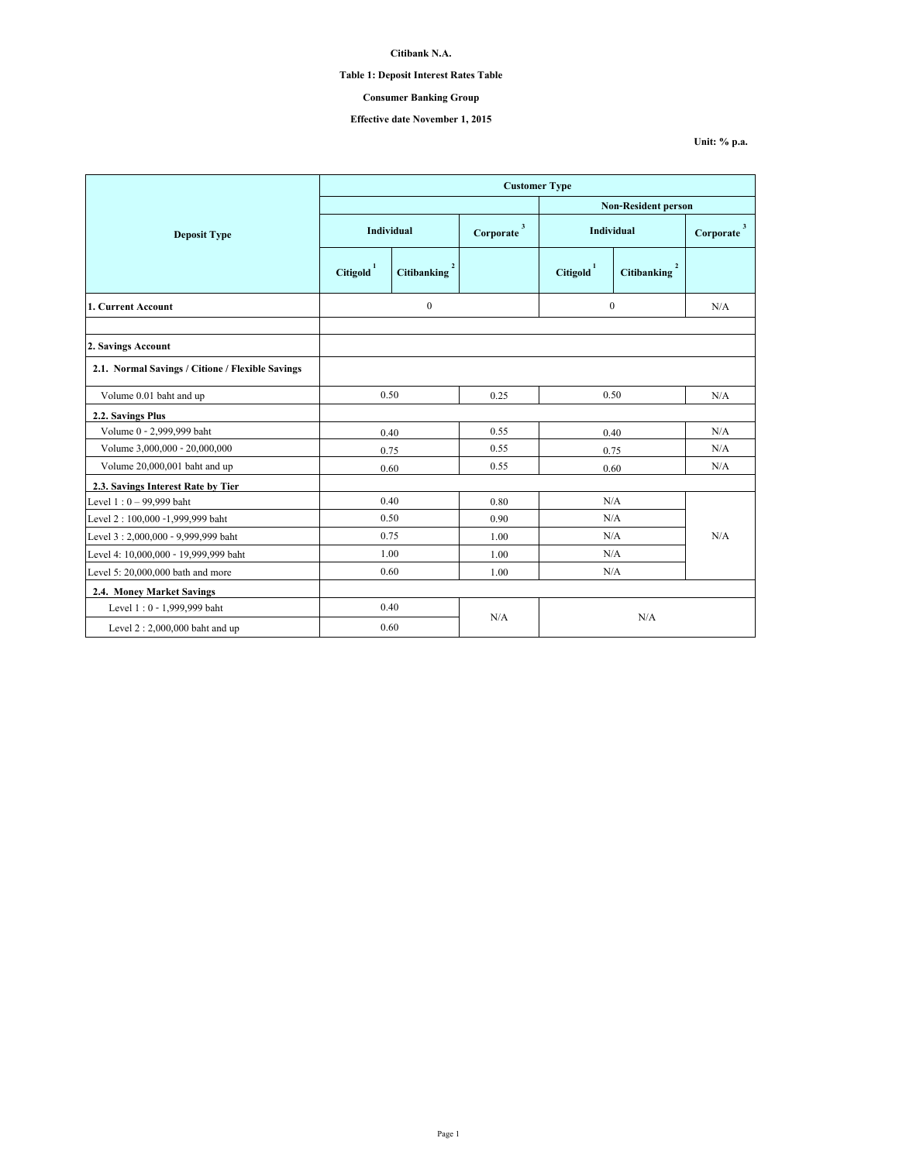# **Table 1: Deposit Interest Rates Table**

## **Consumer Banking Group**

# **Effective date November 1, 2015**

|                                                  | <b>Customer Type</b>  |                          |                           |                            |             |                                      |  |
|--------------------------------------------------|-----------------------|--------------------------|---------------------------|----------------------------|-------------|--------------------------------------|--|
|                                                  |                       |                          |                           | <b>Non-Resident person</b> |             |                                      |  |
| <b>Deposit Type</b>                              | Individual            |                          | $\mathbf{3}$<br>Corporate | Individual                 |             | $\overline{\mathbf{3}}$<br>Corporate |  |
|                                                  | Citigold <sup>1</sup> | Citibanking <sup>2</sup> |                           | $\text{Citigold}^1$        | Citibanking |                                      |  |
| 1. Current Account                               | $\boldsymbol{0}$      |                          |                           | $\theta$                   |             | N/A                                  |  |
| 2. Savings Account                               |                       |                          |                           |                            |             |                                      |  |
| 2.1. Normal Savings / Citione / Flexible Savings |                       |                          |                           |                            |             |                                      |  |
| Volume 0.01 baht and up                          | 0.50                  |                          | 0.25                      | 0.50                       |             | N/A                                  |  |
| 2.2. Savings Plus                                |                       |                          |                           |                            |             |                                      |  |
| Volume 0 - 2,999,999 baht                        | 0.40                  |                          | 0.55                      | 0.40                       |             | N/A                                  |  |
| Volume 3,000,000 - 20,000,000                    | 0.75                  |                          | 0.55                      | 0.75                       |             | N/A                                  |  |
| Volume 20,000,001 baht and up                    | 0.60                  |                          | 0.55                      | 0.60                       |             | N/A                                  |  |
| 2.3. Savings Interest Rate by Tier               |                       |                          |                           |                            |             |                                      |  |
| Level $1:0 - 99,999$ baht                        | 0.40                  |                          | 0.80                      | N/A                        |             |                                      |  |
| Level 2:100,000 -1,999,999 baht                  | 0.50                  |                          | 0.90                      | N/A                        |             |                                      |  |
| Level 3:2,000,000 - 9,999,999 baht               | 0.75                  |                          | 1.00                      | N/A                        |             | N/A                                  |  |
| Level 4: 10,000,000 - 19,999,999 baht            | 1.00                  |                          | 1.00                      | N/A                        |             |                                      |  |
| Level 5: 20,000,000 bath and more                | 0.60                  |                          | 1.00                      | N/A                        |             |                                      |  |
| 2.4. Money Market Savings                        |                       |                          |                           |                            |             |                                      |  |
| Level 1:0 - 1,999,999 baht                       | 0.40                  |                          |                           |                            |             |                                      |  |
| Level $2:2,000,000$ baht and up                  | 0.60                  |                          | N/A<br>N/A                |                            |             |                                      |  |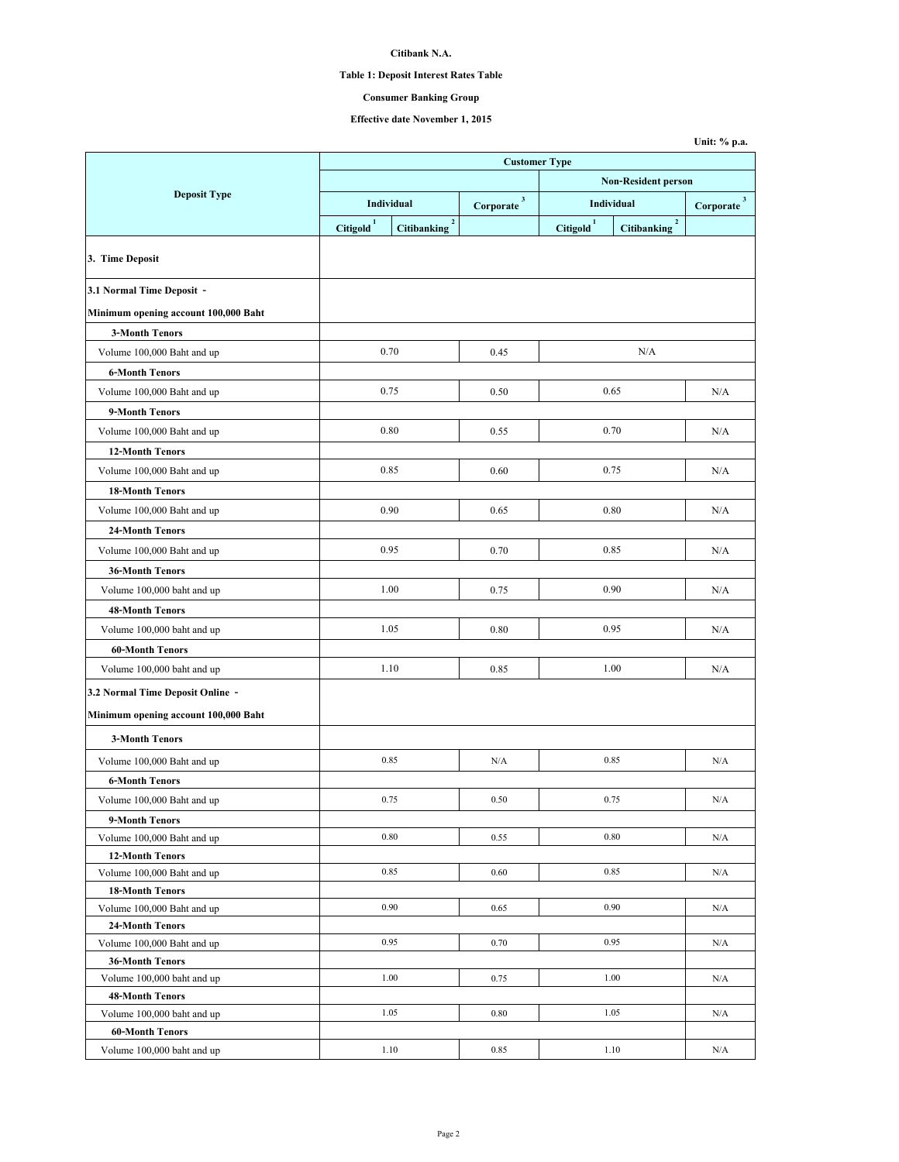# **Table 1: Deposit Interest Rates Table**

## **Consumer Banking Group**

|                                      |                      |                            |                          |                                |                            | Unit: % p.a.             |  |  |
|--------------------------------------|----------------------|----------------------------|--------------------------|--------------------------------|----------------------------|--------------------------|--|--|
|                                      | <b>Customer Type</b> |                            |                          |                                |                            |                          |  |  |
|                                      |                      |                            |                          | <b>Non-Resident person</b>     |                            |                          |  |  |
| <b>Deposit Type</b>                  |                      | Individual                 | $Corporate$ <sup>3</sup> | Individual                     |                            | $Corporate$ <sup>3</sup> |  |  |
|                                      | $\mbox{Citigold}^1$  | $\mathbf 2$<br>Citibanking |                          | $\overline{\text{Citigold}}^1$ | $\mathbf 2$<br>Citibanking |                          |  |  |
| 3. Time Deposit                      |                      |                            |                          |                                |                            |                          |  |  |
| 3.1 Normal Time Deposit -            |                      |                            |                          |                                |                            |                          |  |  |
| Minimum opening account 100,000 Baht |                      |                            |                          |                                |                            |                          |  |  |
| <b>3-Month Tenors</b>                |                      |                            |                          |                                |                            |                          |  |  |
| Volume 100,000 Baht and up           |                      | 0.70                       | 0.45                     |                                | N/A                        |                          |  |  |
| <b>6-Month Tenors</b>                |                      |                            |                          |                                |                            |                          |  |  |
| Volume 100,000 Baht and up           |                      | 0.75                       | 0.50                     |                                | 0.65                       | N/A                      |  |  |
| 9-Month Tenors                       |                      |                            |                          |                                |                            |                          |  |  |
|                                      |                      |                            |                          |                                |                            |                          |  |  |
| Volume 100,000 Baht and up           |                      | 0.80                       | 0.55                     |                                | 0.70                       | N/A                      |  |  |
| <b>12-Month Tenors</b>               |                      |                            |                          |                                |                            |                          |  |  |
| Volume 100,000 Baht and up           |                      | 0.85                       | 0.60                     |                                | 0.75                       | N/A                      |  |  |
| <b>18-Month Tenors</b>               |                      |                            |                          |                                |                            |                          |  |  |
| Volume 100,000 Baht and up           |                      | 0.90                       | 0.65                     | 0.80                           |                            | N/A                      |  |  |
| <b>24-Month Tenors</b>               |                      |                            |                          |                                |                            |                          |  |  |
| Volume 100,000 Baht and up           |                      | 0.95                       | 0.70                     | 0.85                           |                            | N/A                      |  |  |
| <b>36-Month Tenors</b>               |                      |                            |                          |                                |                            |                          |  |  |
| Volume 100,000 baht and up           |                      | 1.00                       | 0.75                     |                                | 0.90                       | N/A                      |  |  |
| <b>48-Month Tenors</b>               |                      |                            |                          |                                |                            |                          |  |  |
| Volume 100,000 baht and up           |                      | 1.05                       | 0.80                     |                                | 0.95                       | N/A                      |  |  |
| <b>60-Month Tenors</b>               |                      |                            |                          |                                |                            |                          |  |  |
| Volume 100,000 baht and up           |                      | 1.10                       | 0.85                     |                                | 1.00                       | N/A                      |  |  |
|                                      |                      |                            |                          |                                |                            |                          |  |  |
| 3.2 Normal Time Deposit Online -     |                      |                            |                          |                                |                            |                          |  |  |
| Minimum opening account 100,000 Baht |                      |                            |                          |                                |                            |                          |  |  |
| <b>3-Month Tenors</b>                |                      |                            |                          |                                |                            |                          |  |  |
| Volume 100,000 Baht and up           |                      | 0.85                       | N/A                      |                                | 0.85                       | N/A                      |  |  |
| <b>6-Month Tenors</b>                |                      |                            |                          |                                |                            |                          |  |  |
| Volume 100,000 Baht and up           |                      | 0.75                       | 0.50                     | 0.75                           |                            | N/A                      |  |  |
| 9-Month Tenors                       |                      |                            |                          |                                |                            |                          |  |  |
| Volume 100,000 Baht and up           |                      | 0.80                       | 0.55                     | 0.80                           |                            | N/A                      |  |  |
| <b>12-Month Tenors</b>               |                      |                            |                          |                                |                            |                          |  |  |
| Volume 100,000 Baht and up           |                      | 0.85                       | 0.60                     |                                | 0.85                       | N/A                      |  |  |
| <b>18-Month Tenors</b>               |                      |                            |                          |                                |                            |                          |  |  |
| Volume 100,000 Baht and up           |                      | 0.90                       | 0.65                     |                                | 0.90                       | N/A                      |  |  |
| 24-Month Tenors                      |                      |                            |                          |                                |                            |                          |  |  |
| Volume 100,000 Baht and up           |                      | 0.95                       | 0.70                     |                                | 0.95                       | N/A                      |  |  |
| <b>36-Month Tenors</b>               |                      |                            |                          |                                |                            |                          |  |  |
| Volume 100,000 baht and up           |                      | 1.00                       | 0.75                     |                                | 1.00                       | N/A                      |  |  |
| <b>48-Month Tenors</b>               |                      |                            |                          |                                |                            |                          |  |  |
| Volume 100,000 baht and up           |                      | 1.05                       | 0.80                     |                                | 1.05                       | N/A                      |  |  |
| <b>60-Month Tenors</b>               |                      |                            |                          |                                |                            |                          |  |  |
| Volume 100,000 baht and up           |                      | 1.10<br>0.85               |                          |                                | 1.10                       | N/A                      |  |  |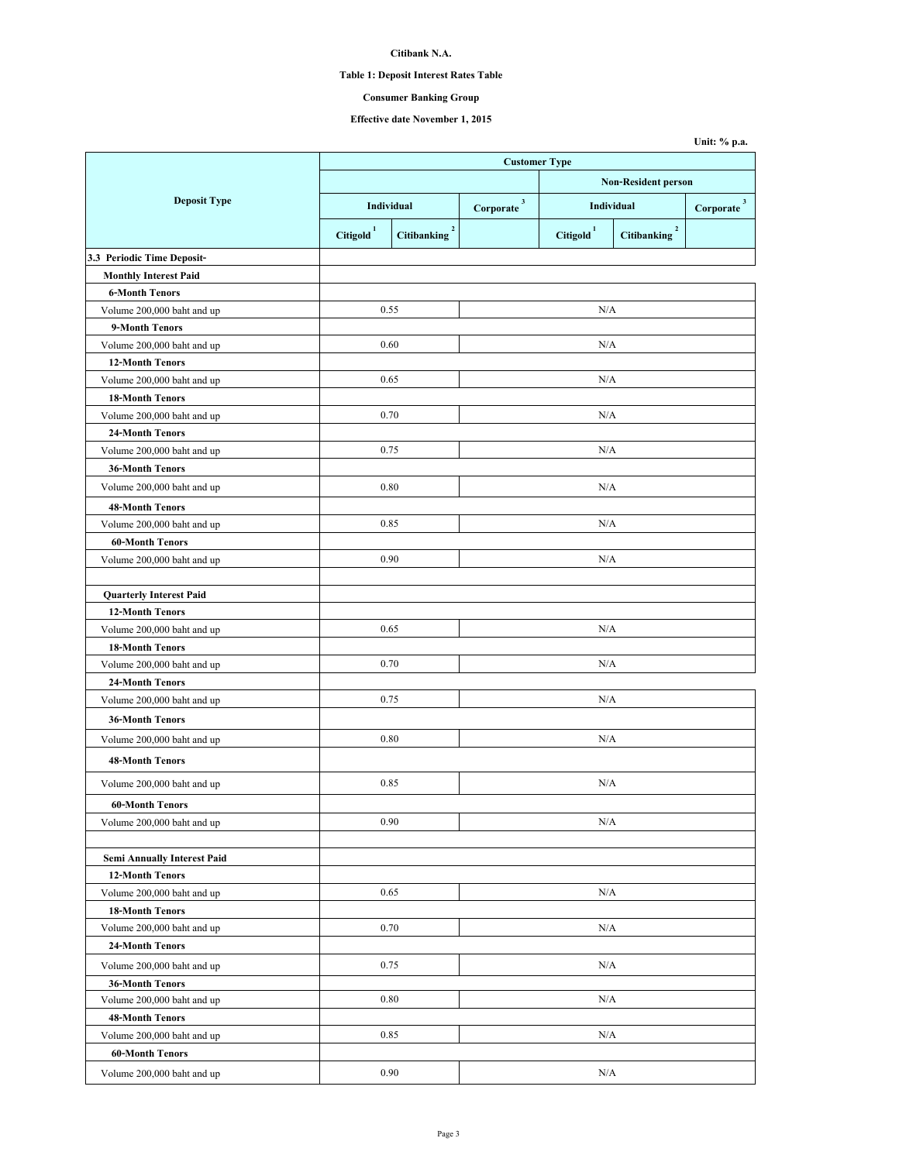# **Table 1: Deposit Interest Rates Table**

## **Consumer Banking Group**

|                                    |                     |                            |                        |                            |                          | Unit: % p.a.            |  |
|------------------------------------|---------------------|----------------------------|------------------------|----------------------------|--------------------------|-------------------------|--|
|                                    |                     | <b>Customer Type</b>       |                        |                            |                          |                         |  |
|                                    |                     |                            |                        | <b>Non-Resident person</b> |                          |                         |  |
| <b>Deposit Type</b>                |                     | Individual                 | Corporate <sup>3</sup> |                            | Individual               | $\sqrt{3}$<br>Corporate |  |
|                                    | $\mbox{Citigold}^1$ | $\mathbf 2$<br>Citibanking |                        | Citigold <sup>1</sup>      | Citibanking <sup>2</sup> |                         |  |
| 3.3 Periodic Time Deposit-         |                     |                            |                        |                            |                          |                         |  |
| <b>Monthly Interest Paid</b>       |                     |                            |                        |                            |                          |                         |  |
| <b>6-Month Tenors</b>              |                     |                            |                        |                            |                          |                         |  |
| Volume 200,000 baht and up         |                     | 0.55                       |                        | N/A                        |                          |                         |  |
| 9-Month Tenors                     |                     |                            |                        |                            |                          |                         |  |
| Volume 200,000 baht and up         |                     | 0.60                       |                        | N/A                        |                          |                         |  |
| <b>12-Month Tenors</b>             |                     |                            |                        |                            |                          |                         |  |
| Volume 200,000 baht and up         |                     | 0.65                       |                        | N/A                        |                          |                         |  |
| <b>18-Month Tenors</b>             |                     |                            |                        |                            |                          |                         |  |
| Volume 200,000 baht and up         |                     | 0.70                       |                        | N/A                        |                          |                         |  |
| 24-Month Tenors                    |                     |                            |                        |                            |                          |                         |  |
| Volume 200,000 baht and up         |                     | 0.75                       |                        | N/A                        |                          |                         |  |
| <b>36-Month Tenors</b>             |                     |                            |                        |                            |                          |                         |  |
| Volume 200,000 baht and up         |                     | 0.80                       |                        | N/A                        |                          |                         |  |
| <b>48-Month Tenors</b>             |                     |                            |                        |                            |                          |                         |  |
| Volume 200,000 baht and up         |                     | 0.85                       |                        | N/A                        |                          |                         |  |
| <b>60-Month Tenors</b>             |                     |                            |                        |                            |                          |                         |  |
| Volume 200,000 baht and up         |                     | 0.90                       |                        | N/A                        |                          |                         |  |
| <b>Quarterly Interest Paid</b>     |                     |                            |                        |                            |                          |                         |  |
| <b>12-Month Tenors</b>             |                     |                            |                        |                            |                          |                         |  |
| Volume 200,000 baht and up         |                     | 0.65                       |                        | N/A                        |                          |                         |  |
| <b>18-Month Tenors</b>             |                     |                            |                        |                            |                          |                         |  |
| Volume 200,000 baht and up         |                     | 0.70                       |                        | N/A                        |                          |                         |  |
| 24-Month Tenors                    |                     |                            |                        |                            |                          |                         |  |
| Volume 200,000 baht and up         |                     | 0.75                       |                        | N/A                        |                          |                         |  |
| <b>36-Month Tenors</b>             |                     |                            |                        |                            |                          |                         |  |
| Volume 200,000 baht and up         |                     | 0.80                       |                        | N/A                        |                          |                         |  |
| <b>48-Month Tenors</b>             |                     |                            |                        |                            |                          |                         |  |
| Volume 200,000 baht and up         |                     | 0.85                       |                        | N/A                        |                          |                         |  |
| <b>60-Month Tenors</b>             |                     |                            |                        |                            |                          |                         |  |
| Volume 200,000 baht and up         |                     | 0.90                       |                        | N/A                        |                          |                         |  |
| <b>Semi Annually Interest Paid</b> |                     |                            |                        |                            |                          |                         |  |
| <b>12-Month Tenors</b>             |                     |                            |                        |                            |                          |                         |  |
| Volume 200,000 baht and up         |                     | 0.65                       |                        | N/A                        |                          |                         |  |
| <b>18-Month Tenors</b>             |                     |                            |                        |                            |                          |                         |  |
| Volume 200,000 baht and up         |                     | 0.70                       |                        | N/A                        |                          |                         |  |
| 24-Month Tenors                    |                     |                            |                        |                            |                          |                         |  |
| Volume 200,000 baht and up         |                     | 0.75                       |                        | N/A                        |                          |                         |  |
| <b>36-Month Tenors</b>             |                     |                            |                        |                            |                          |                         |  |
| Volume 200,000 baht and up         |                     | 0.80                       |                        | N/A                        |                          |                         |  |
| 48-Month Tenors                    |                     |                            |                        |                            |                          |                         |  |
| Volume 200,000 baht and up         |                     | 0.85                       |                        | N/A                        |                          |                         |  |
| <b>60-Month Tenors</b>             |                     |                            |                        |                            |                          |                         |  |
| Volume 200,000 baht and up         |                     | 0.90                       |                        | N/A                        |                          |                         |  |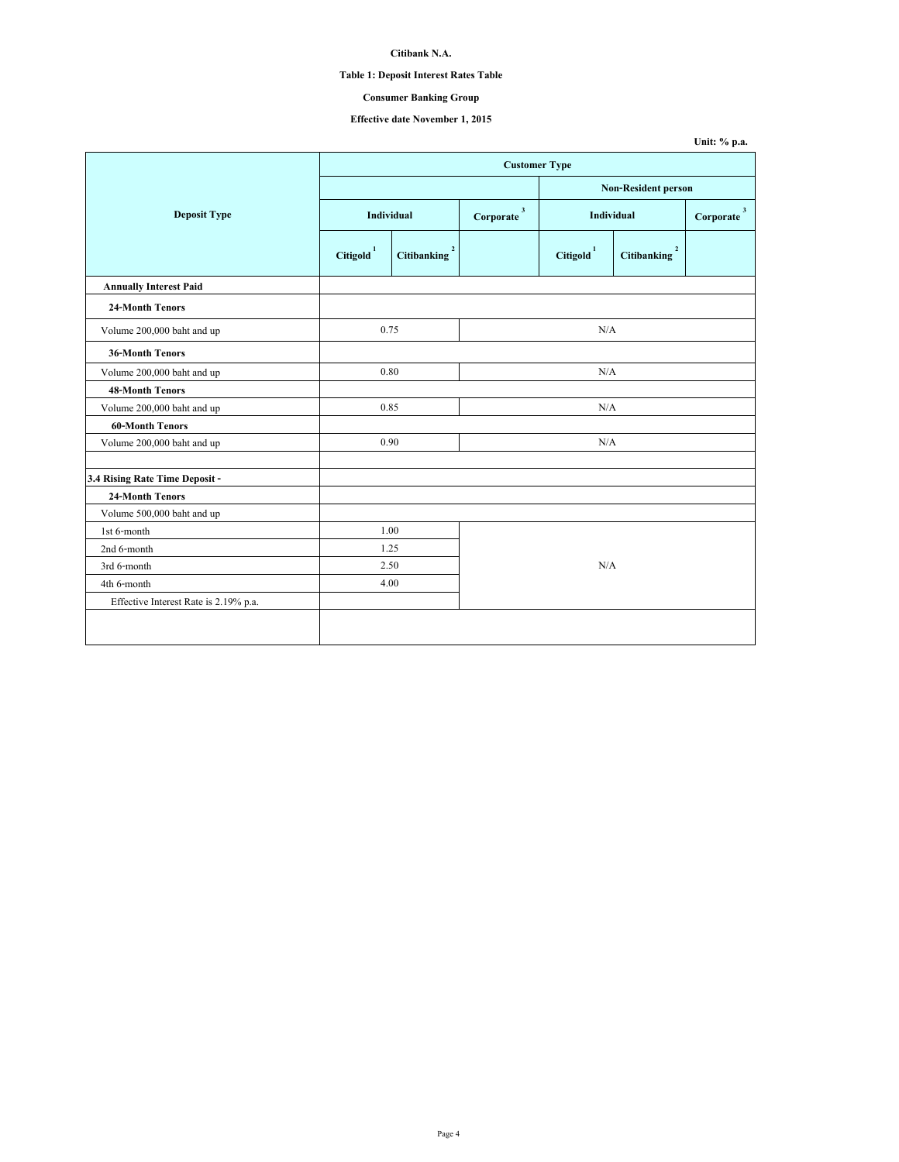# **Table 1: Deposit Interest Rates Table**

## **Consumer Banking Group**

|                                       |                      |                               |  |                            |                            | Unit: % p.a.           |  |
|---------------------------------------|----------------------|-------------------------------|--|----------------------------|----------------------------|------------------------|--|
|                                       | <b>Customer Type</b> |                               |  |                            |                            |                        |  |
|                                       |                      |                               |  | <b>Non-Resident person</b> |                            |                        |  |
| <b>Deposit Type</b>                   |                      | Individual                    |  | <b>Individual</b>          |                            | $\textbf{Corporate}^3$ |  |
|                                       | $\mbox{Citigold}^1$  | $\overline{2}$<br>Citibanking |  | $\mbox{Citigold}^1$        | $\mathbf 2$<br>Citibanking |                        |  |
| <b>Annually Interest Paid</b>         |                      |                               |  |                            |                            |                        |  |
| 24-Month Tenors                       |                      |                               |  |                            |                            |                        |  |
| Volume 200,000 baht and up            | 0.75                 |                               |  | N/A                        |                            |                        |  |
| <b>36-Month Tenors</b>                |                      |                               |  |                            |                            |                        |  |
| Volume 200,000 baht and up            |                      | 0.80                          |  |                            | N/A                        |                        |  |
| <b>48-Month Tenors</b>                |                      |                               |  |                            |                            |                        |  |
| Volume 200,000 baht and up            | 0.85                 |                               |  | N/A                        |                            |                        |  |
| <b>60-Month Tenors</b>                |                      |                               |  |                            |                            |                        |  |
| Volume 200,000 baht and up            | 0.90                 |                               |  | N/A                        |                            |                        |  |
| 3.4 Rising Rate Time Deposit -        |                      |                               |  |                            |                            |                        |  |
| <b>24-Month Tenors</b>                |                      |                               |  |                            |                            |                        |  |
| Volume 500,000 baht and up            |                      |                               |  |                            |                            |                        |  |
| 1st 6-month                           | 1.00                 |                               |  |                            |                            |                        |  |
| 2nd 6-month                           | 1.25                 |                               |  |                            |                            |                        |  |
| 3rd 6-month                           | 2.50                 |                               |  | N/A                        |                            |                        |  |
| 4th 6-month                           | 4.00                 |                               |  |                            |                            |                        |  |
| Effective Interest Rate is 2.19% p.a. |                      |                               |  |                            |                            |                        |  |
|                                       |                      |                               |  |                            |                            |                        |  |
|                                       |                      |                               |  |                            |                            |                        |  |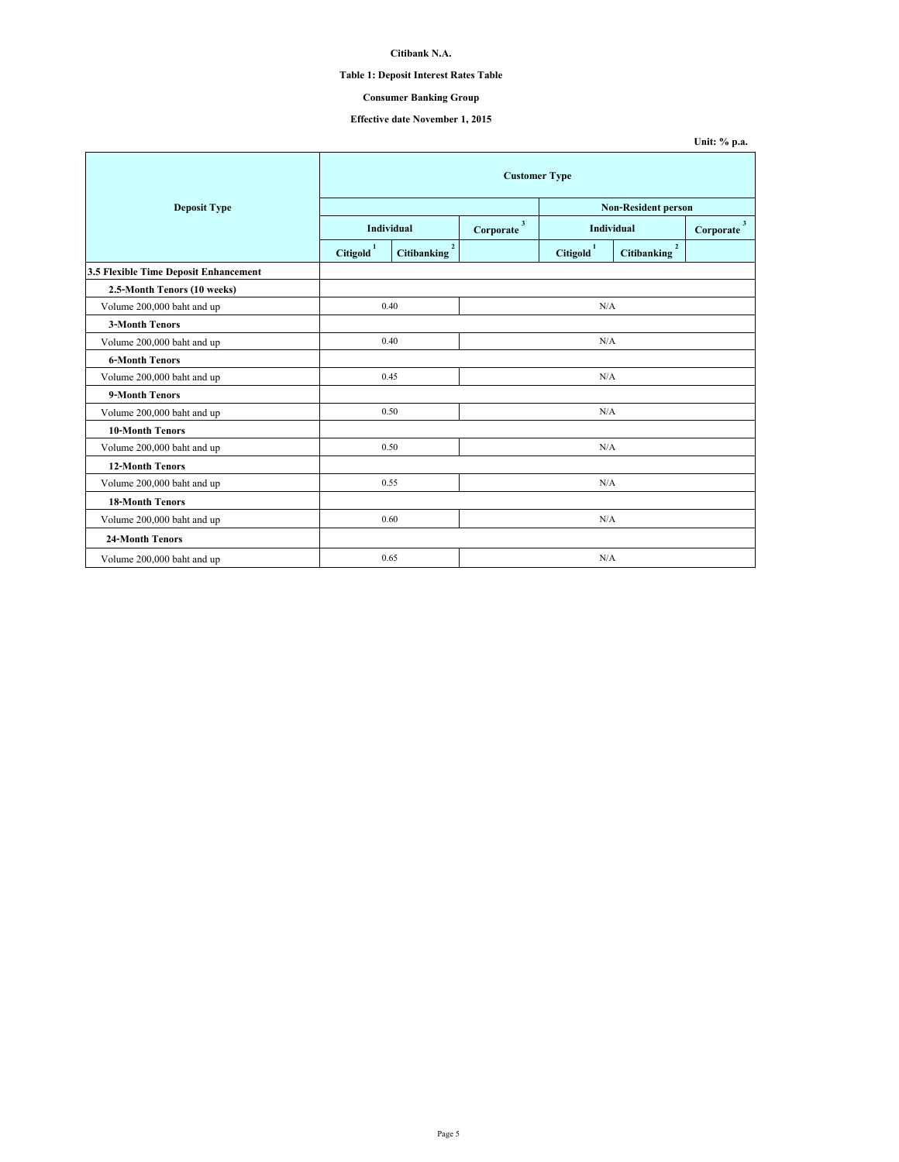# **Table 1: Deposit Interest Rates Table**

## **Consumer Banking Group**

|                                       |                     |                                      |     |                     |                                      | Unit: % p.a.              |  |  |
|---------------------------------------|---------------------|--------------------------------------|-----|---------------------|--------------------------------------|---------------------------|--|--|
|                                       |                     | <b>Customer Type</b>                 |     |                     |                                      |                           |  |  |
| <b>Deposit Type</b>                   |                     |                                      |     |                     | <b>Non-Resident person</b>           |                           |  |  |
|                                       |                     | Individual                           |     | Individual          |                                      | $\mathbf{3}$<br>Corporate |  |  |
|                                       | $\mbox{Citigold}^1$ | $\overline{2}$<br><b>Citibanking</b> |     | $\text{Citigold}^1$ | $\overline{2}$<br><b>Citibanking</b> |                           |  |  |
| 3.5 Flexible Time Deposit Enhancement |                     |                                      |     |                     |                                      |                           |  |  |
| 2.5-Month Tenors (10 weeks)           |                     |                                      |     |                     |                                      |                           |  |  |
| Volume 200,000 baht and up            |                     | 0.40<br>N/A                          |     |                     |                                      |                           |  |  |
| <b>3-Month Tenors</b>                 |                     |                                      |     |                     |                                      |                           |  |  |
| Volume 200,000 baht and up            |                     | 0.40                                 | N/A |                     |                                      |                           |  |  |
| <b>6-Month Tenors</b>                 |                     |                                      |     |                     |                                      |                           |  |  |
| Volume 200,000 baht and up            |                     | 0.45                                 |     | N/A                 |                                      |                           |  |  |
| 9-Month Tenors                        |                     |                                      |     |                     |                                      |                           |  |  |
| Volume 200,000 baht and up            |                     | 0.50                                 |     | N/A                 |                                      |                           |  |  |
| <b>10-Month Tenors</b>                |                     |                                      |     |                     |                                      |                           |  |  |
| Volume 200,000 baht and up            |                     | 0.50                                 |     | N/A                 |                                      |                           |  |  |
| <b>12-Month Tenors</b>                |                     |                                      |     |                     |                                      |                           |  |  |
| Volume 200,000 baht and up            |                     | 0.55                                 |     | N/A                 |                                      |                           |  |  |
| <b>18-Month Tenors</b>                |                     |                                      |     |                     |                                      |                           |  |  |
| Volume 200,000 baht and up            |                     | 0.60                                 |     | N/A                 |                                      |                           |  |  |
| <b>24-Month Tenors</b>                |                     |                                      |     |                     |                                      |                           |  |  |
| Volume 200,000 baht and up            |                     | 0.65                                 |     | N/A                 |                                      |                           |  |  |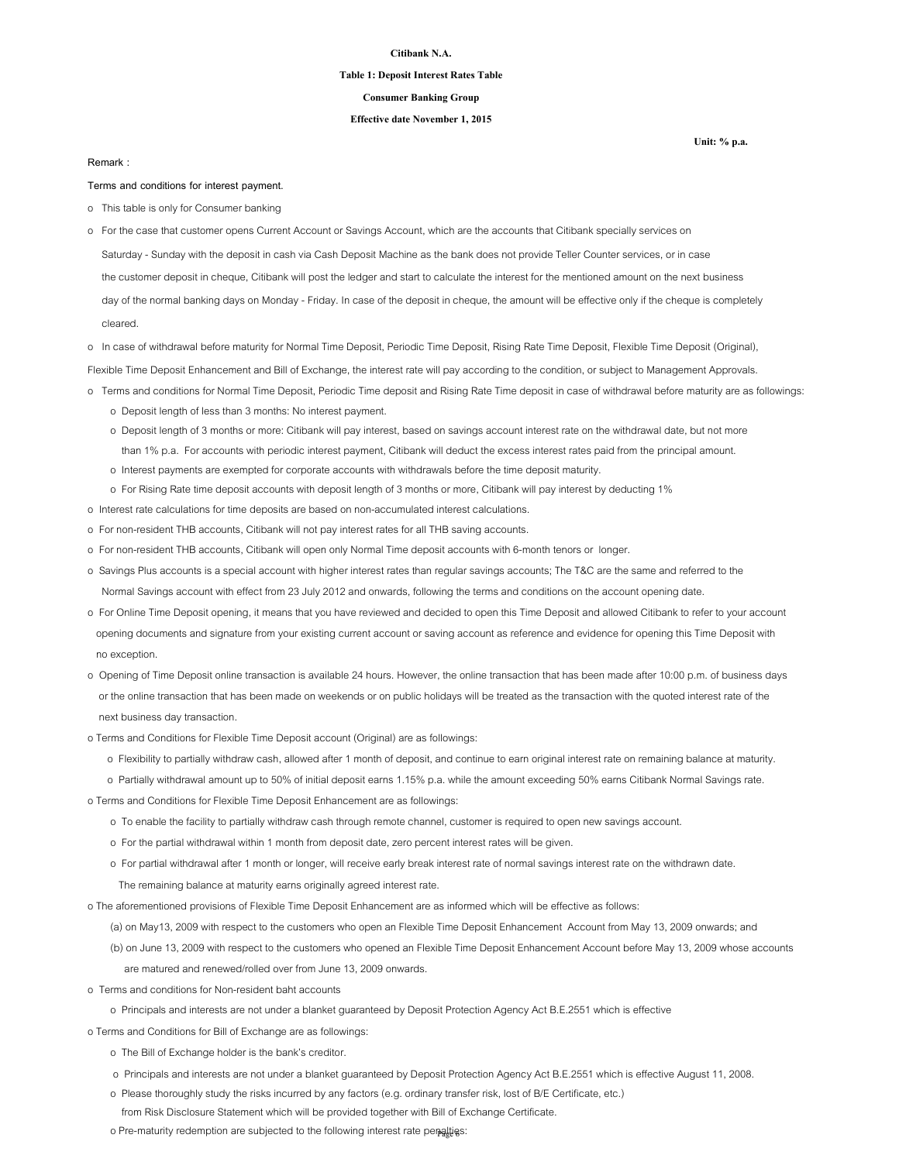### **Table 1: Deposit Interest Rates Table**

### **Consumer Banking Group**

## **Effective date November 1, 2015**

### **Remark :**

cleared.

**Terms and conditions for interest payment.**

- o This table is only for Consumer banking
- Saturday Sunday with the deposit in cash via Cash Deposit Machine as the bank does not provide Teller Counter services, or in case the customer deposit in cheque, Citibank will post the ledger and start to calculate the interest for the mentioned amount on the next business day of the normal banking days on Monday - Friday. In case of the deposit in cheque, the amount will be effective only if the cheque is completely o For the case that customer opens Current Account or Savings Account, which are the accounts that Citibank specially services on
- o In case of withdrawal before maturity for Normal Time Deposit, Periodic Time Deposit, Rising Rate Time Deposit, Flexible Time Deposit (Original),

Flexible Time Deposit Enhancement and Bill of Exchange, the interest rate will pay according to the condition, or subject to Management Approvals.

- o Terms and conditions for Normal Time Deposit, Periodic Time deposit and Rising Rate Time deposit in case of withdrawal before maturity are as followings:
	- o Deposit length of less than 3 months: No interest payment.
	- o Deposit length of 3 months or more: Citibank will pay interest, based on savings account interest rate on the withdrawal date, but not more than 1% p.a. For accounts with periodic interest payment, Citibank will deduct the excess interest rates paid from the principal amount.
	- o Interest payments are exempted for corporate accounts with withdrawals before the time deposit maturity.
	- o For Rising Rate time deposit accounts with deposit length of 3 months or more, Citibank will pay interest by deducting 1%
- o Interest rate calculations for time deposits are based on non-accumulated interest calculations.
- o For non-resident THB accounts, Citibank will not pay interest rates for all THB saving accounts.
- o For non-resident THB accounts, Citibank will open only Normal Time deposit accounts with 6-month tenors or longer.
- o Savings Plus accounts is a special account with higher interest rates than regular savings accounts; The T&C are the same and referred to the Normal Savings account with effect from 23 July 2012 and onwards, following the terms and conditions on the account opening date.
- o For Online Time Deposit opening, it means that you have reviewed and decided to open this Time Deposit and allowed Citibank to refer to your account opening documents and signature from your existing current account or saving account as reference and evidence for opening this Time Deposit with no exception.
- o Opening of Time Deposit online transaction is available 24 hours. However, the online transaction that has been made after 10:00 p.m. of business days or the online transaction that has been made on weekends or on public holidays will be treated as the transaction with the quoted interest rate of the next business day transaction.
- o Terms and Conditions for Flexible Time Deposit account (Original) are as followings:
	- o Flexibility to partially withdraw cash, allowed after 1 month of deposit, and continue to earn original interest rate on remaining balance at maturity.
- o Partially withdrawal amount up to 50% of initial deposit earns 1.15% p.a. while the amount exceeding 50% earns Citibank Normal Savings rate.

o Terms and Conditions for Flexible Time Deposit Enhancement are as followings:

- o To enable the facility to partially withdraw cash through remote channel, customer is required to open new savings account.
- o For the partial withdrawal within 1 month from deposit date, zero percent interest rates will be given.
- o For partial withdrawal after 1 month or longer, will receive early break interest rate of normal savings interest rate on the withdrawn date.
	- The remaining balance at maturity earns originally agreed interest rate.

o The aforementioned provisions of Flexible Time Deposit Enhancement are as informed which will be effective as follows:

(a) on May13, 2009 with respect to the customers who open an Flexible Time Deposit Enhancement Account from May 13, 2009 onwards; and

- (b) on June 13, 2009 with respect to the customers who opened an Flexible Time Deposit Enhancement Account before May 13, 2009 whose accounts are matured and renewed/rolled over from June 13, 2009 onwards.
- o Terms and conditions for Non-resident baht accounts
	- o Principals and interests are not under a blanket guaranteed by Deposit Protection Agency Act B.E.2551 which is effective

o Terms and Conditions for Bill of Exchange are as followings:

- o The Bill of Exchange holder is the bank's creditor.
- o Principals and interests are not under a blanket guaranteed by Deposit Protection Agency Act B.E.2551 which is effective August 11, 2008.
- o Please thoroughly study the risks incurred by any factors (e.g. ordinary transfer risk, lost of B/E Certificate, etc.)
	- from Risk Disclosure Statement which will be provided together with Bill of Exchange Certificate.
- o Pre-maturity redemption are subjected to the following interest rate penalties: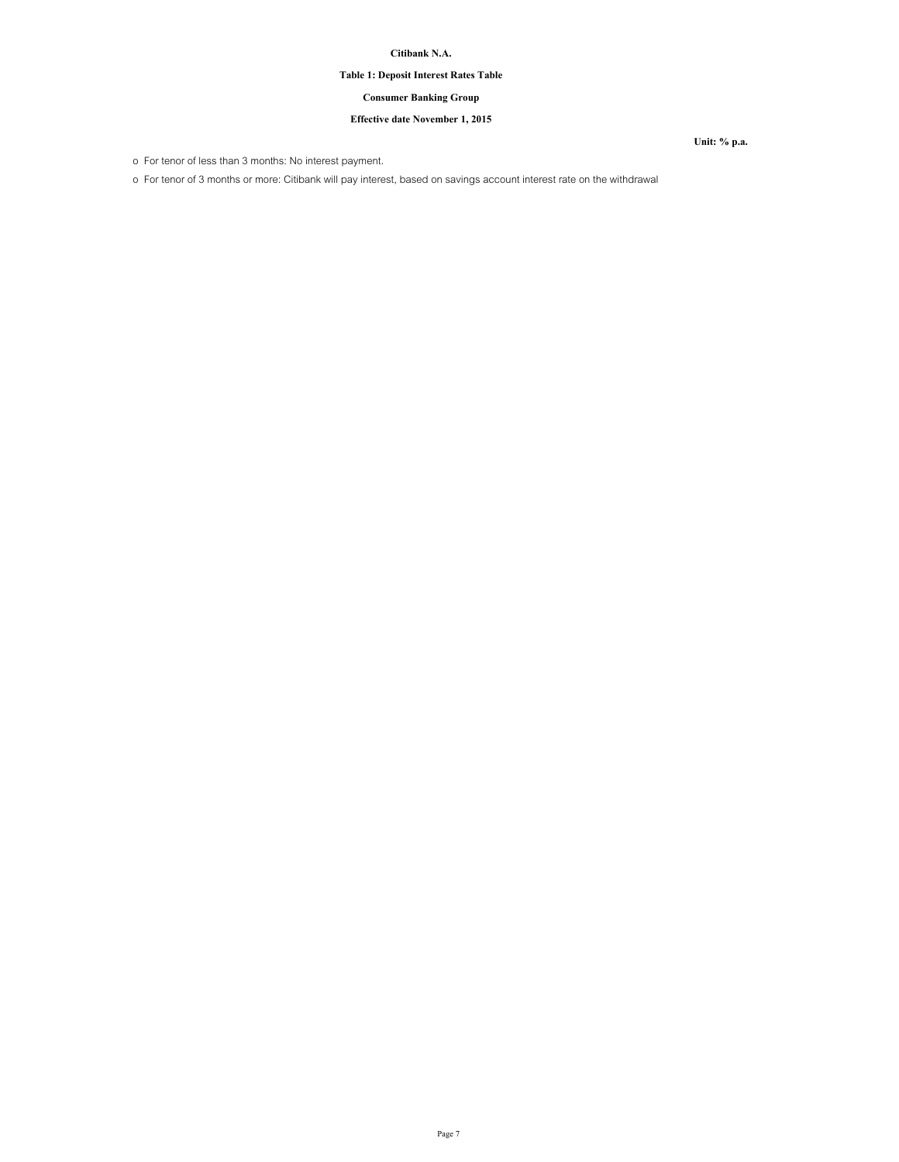# **Table 1: Deposit Interest Rates Table**

## **Consumer Banking Group**

## **Effective date November 1, 2015**

o For tenor of less than 3 months: No interest payment.

o For tenor of 3 months or more: Citibank will pay interest, based on savings account interest rate on the withdrawal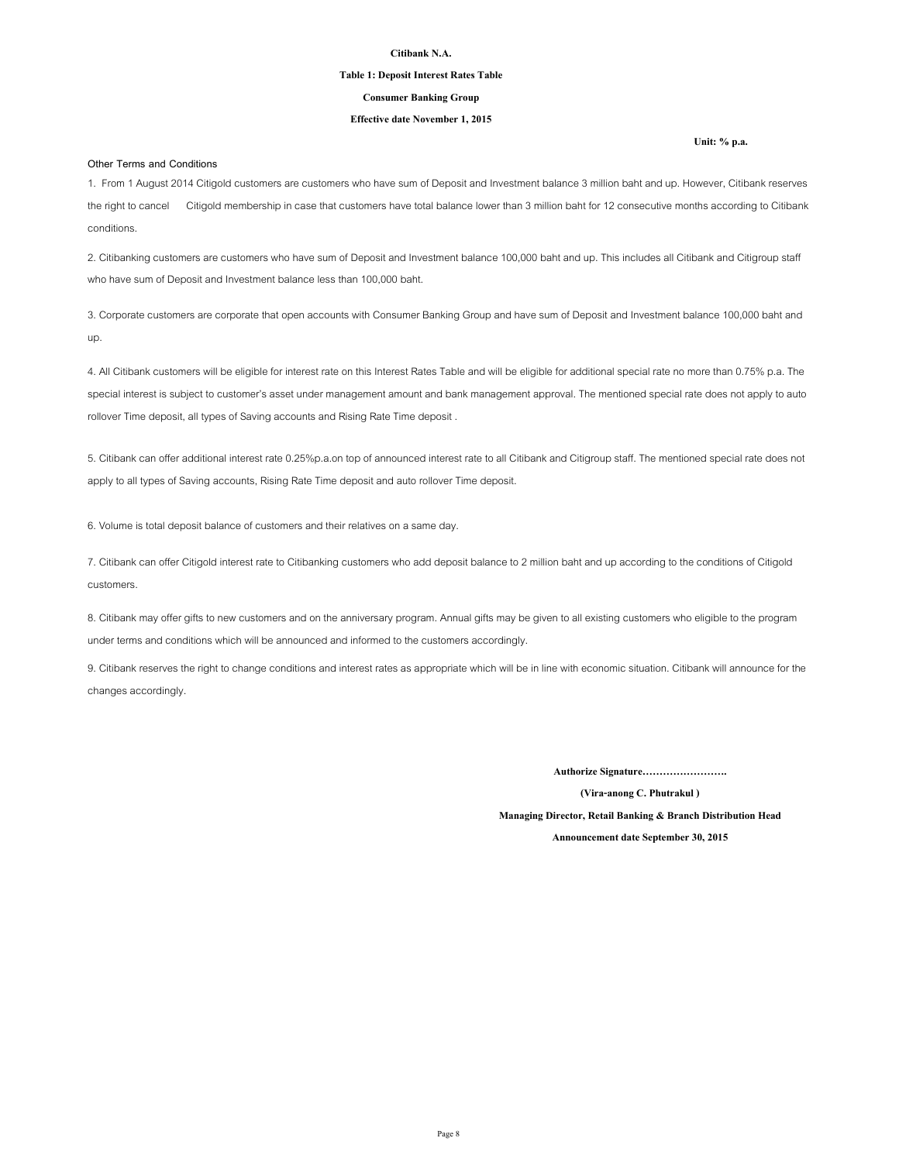### **Table 1: Deposit Interest Rates Table**

### **Consumer Banking Group**

## **Effective date November 1, 2015**

### **Other Terms and Conditions**

1. From 1 August 2014 Citigold customers are customers who have sum of Deposit and Investment balance 3 million baht and up. However, Citibank reserves the right to cancel Citigold membership in case that customers have total balance lower than 3 million baht for 12 consecutive months according to Citibank conditions.

2. Citibanking customers are customers who have sum of Deposit and Investment balance 100,000 baht and up. This includes all Citibank and Citigroup staff who have sum of Deposit and Investment balance less than 100,000 baht.

3. Corporate customers are corporate that open accounts with Consumer Banking Group and have sum of Deposit and Investment balance 100,000 baht and up.

4. All Citibank customers will be eligible for interest rate on this Interest Rates Table and will be eligible for additional special rate no more than 0.75% p.a. The special interest is subject to customer's asset under management amount and bank management approval. The mentioned special rate does not apply to auto rollover Time deposit, all types of Saving accounts and Rising Rate Time deposit .

5. Citibank can offer additional interest rate 0.25%p.a.on top of announced interest rate to all Citibank and Citigroup staff. The mentioned special rate does not apply to all types of Saving accounts, Rising Rate Time deposit and auto rollover Time deposit.

6. Volume is total deposit balance of customers and their relatives on a same day.

7. Citibank can offer Citigold interest rate to Citibanking customers who add deposit balance to 2 million baht and up according to the conditions of Citigold customers.

8. Citibank may offer gifts to new customers and on the anniversary program. Annual gifts may be given to all existing customers who eligible to the program under terms and conditions which will be announced and informed to the customers accordingly.

9. Citibank reserves the right to change conditions and interest rates as appropriate which will be in line with economic situation. Citibank will announce for the changes accordingly.

**Authorize Signature…………………….**

**(Vira-anong C. Phutrakul )**

**Managing Director, Retail Banking & Branch Distribution Head**

**Announcement date September 30, 2015**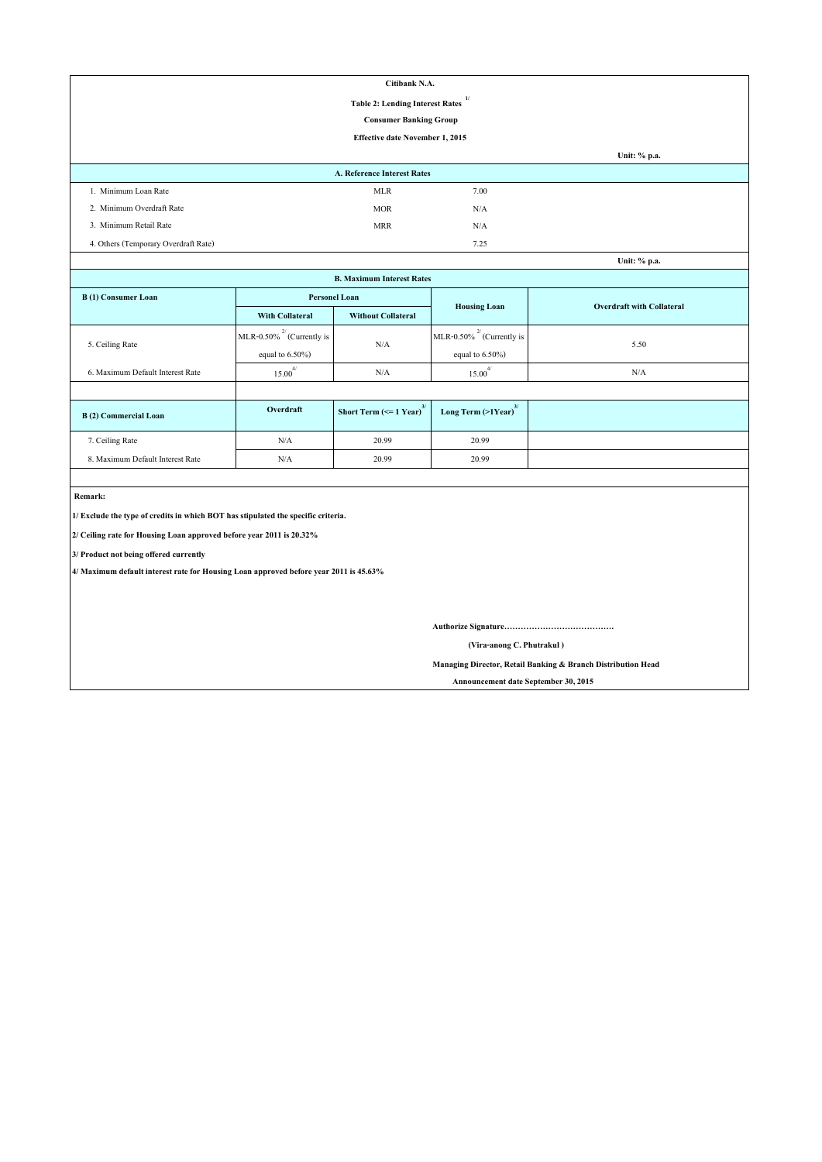| Citibank N.A.                                          |                                    |      |              |  |  |  |  |
|--------------------------------------------------------|------------------------------------|------|--------------|--|--|--|--|
| $\mathbf{v}$<br><b>Table 2: Lending Interest Rates</b> |                                    |      |              |  |  |  |  |
| <b>Consumer Banking Group</b>                          |                                    |      |              |  |  |  |  |
| Effective date November 1, 2015                        |                                    |      |              |  |  |  |  |
|                                                        |                                    |      | Unit: % p.a. |  |  |  |  |
|                                                        | <b>A. Reference Interest Rates</b> |      |              |  |  |  |  |
| 1. Minimum Loan Rate                                   | <b>MLR</b>                         | 7.00 |              |  |  |  |  |
| 2. Minimum Overdraft Rate                              | <b>MOR</b>                         | N/A  |              |  |  |  |  |
| 3. Minimum Retail Rate                                 | <b>MRR</b>                         | N/A  |              |  |  |  |  |
| 4. Others (Temporary Overdraft Rate)                   |                                    | 7.25 |              |  |  |  |  |

| Unit: % p.a.                     |                                      |                                       |                                     |                                  |  |  |  |  |
|----------------------------------|--------------------------------------|---------------------------------------|-------------------------------------|----------------------------------|--|--|--|--|
| <b>B. Maximum Interest Rates</b> |                                      |                                       |                                     |                                  |  |  |  |  |
| B(1) Consumer Loan               |                                      | <b>Personel Loan</b>                  |                                     | <b>Overdraft with Collateral</b> |  |  |  |  |
|                                  | <b>With Collateral</b>               | <b>Without Collateral</b>             | <b>Housing Loan</b>                 |                                  |  |  |  |  |
|                                  | MLR-0.50% <sup>2</sup> (Currently is | N/A                                   | MLR-0.50% $^{27}$ (Currently is     | 5.50                             |  |  |  |  |
| 5. Ceiling Rate                  | equal to $6.50\%$ )                  |                                       | equal to $6.50\%$ )                 |                                  |  |  |  |  |
| 6. Maximum Default Interest Rate | $15.00^{4/}$                         | N/A                                   | $15.00^{4/}$                        | N/A                              |  |  |  |  |
|                                  |                                      |                                       |                                     |                                  |  |  |  |  |
| B(2) Commercial Loan             | Overdraft                            | Short Term $(<=1$ Year) <sup>3/</sup> | Long Term $(>1$ Year) <sup>3/</sup> |                                  |  |  |  |  |
| 7. Ceiling Rate                  | N/A                                  | 20.99                                 | 20.99                               |                                  |  |  |  |  |
| 8. Maximum Default Interest Rate | N/A                                  | 20.99                                 | 20.99                               |                                  |  |  |  |  |

 **Remark:**

**1/ Exclude the type of credits in which BOT has stipulated the specific criteria.**

**2/ Ceiling rate for Housing Loan approved before year 2011 is 20.32%**

**3/ Product not being offered currently**

**4/ Maximum default interest rate for Housing Loan approved before year 2011 is 45.63%**

**Authorize Signature………………………………….**

 **(Vira-anong C. Phutrakul )**

**Managing Director, Retail Banking & Branch Distribution Head**

 **Announcement date September 30, 2015**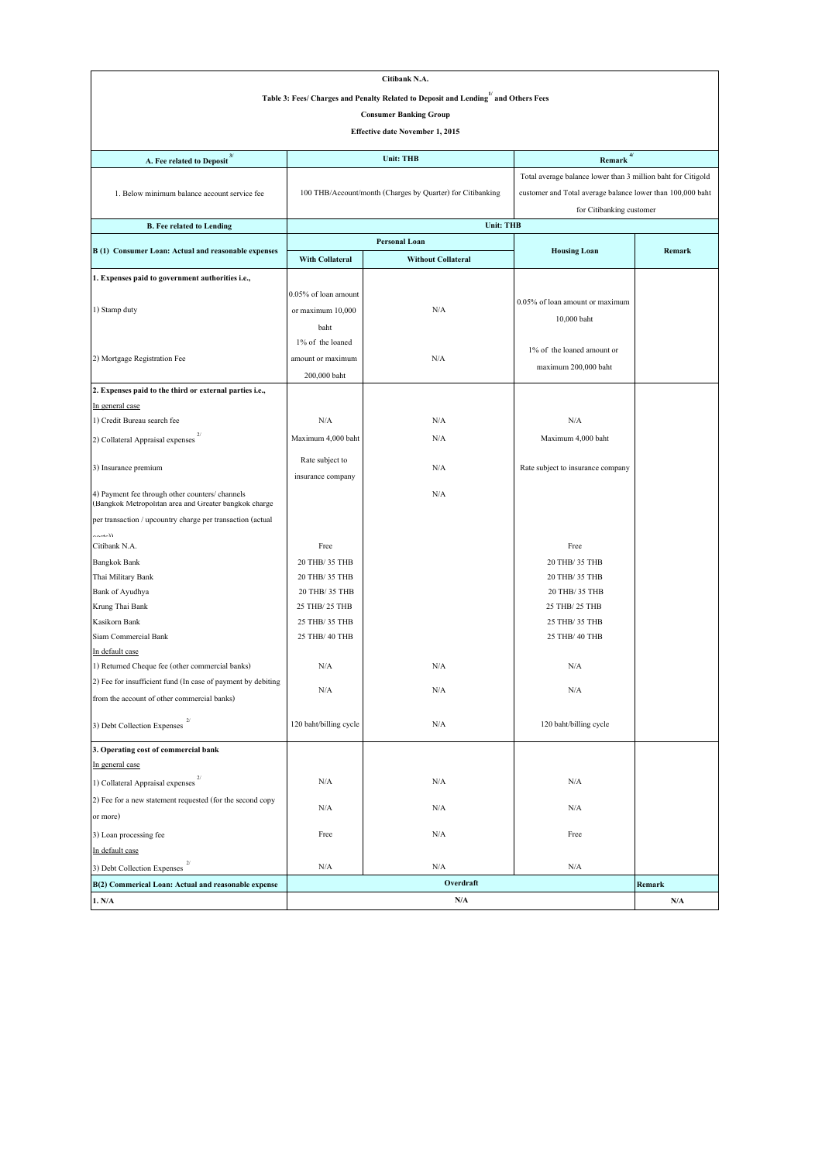| Citibank N.A.                                                                                                                         |                                              |                                                            |                                                              |                         |  |  |  |  |
|---------------------------------------------------------------------------------------------------------------------------------------|----------------------------------------------|------------------------------------------------------------|--------------------------------------------------------------|-------------------------|--|--|--|--|
| Table 3: Fees/ Charges and Penalty Related to Deposit and Lending $\stackrel{1}{\hspace*{1.5ex}^{\hspace*{1.5ex} 1}}$ and Others Fees |                                              |                                                            |                                                              |                         |  |  |  |  |
| <b>Consumer Banking Group</b>                                                                                                         |                                              |                                                            |                                                              |                         |  |  |  |  |
| Effective date November 1, 2015                                                                                                       |                                              |                                                            |                                                              |                         |  |  |  |  |
|                                                                                                                                       |                                              |                                                            |                                                              |                         |  |  |  |  |
| A. Fee related to Deposit <sup>3/</sup>                                                                                               |                                              | <b>Unit: THB</b>                                           | 4/<br>Remark                                                 |                         |  |  |  |  |
|                                                                                                                                       |                                              |                                                            | Total average balance lower than 3 million baht for Citigold |                         |  |  |  |  |
| 1. Below minimum balance account service fee                                                                                          |                                              | 100 THB/Account/month (Charges by Quarter) for Citibanking | customer and Total average balance lower than 100,000 baht   |                         |  |  |  |  |
|                                                                                                                                       |                                              |                                                            | for Citibanking customer                                     |                         |  |  |  |  |
| <b>B.</b> Fee related to Lending                                                                                                      |                                              | <b>Unit: THB</b>                                           |                                                              |                         |  |  |  |  |
|                                                                                                                                       |                                              | <b>Personal Loan</b>                                       |                                                              |                         |  |  |  |  |
| B(1) Consumer Loan: Actual and reasonable expenses                                                                                    | With Collateral<br><b>Without Collateral</b> |                                                            | <b>Housing Loan</b>                                          | Remark                  |  |  |  |  |
| 1. Expenses paid to government authorities i.e.,                                                                                      |                                              |                                                            |                                                              |                         |  |  |  |  |
|                                                                                                                                       | 0.05% of loan amount                         |                                                            |                                                              |                         |  |  |  |  |
| 1) Stamp duty                                                                                                                         | or maximum 10,000                            | N/A                                                        | 0.05% of loan amount or maximum                              |                         |  |  |  |  |
|                                                                                                                                       |                                              |                                                            | 10,000 baht                                                  |                         |  |  |  |  |
|                                                                                                                                       | baht<br>1% of the loaned                     |                                                            |                                                              |                         |  |  |  |  |
| 2) Mortgage Registration Fee                                                                                                          |                                              | N/A                                                        | 1% of the loaned amount or                                   |                         |  |  |  |  |
|                                                                                                                                       | amount or maximum                            |                                                            | maximum 200,000 baht                                         |                         |  |  |  |  |
|                                                                                                                                       | 200,000 baht                                 |                                                            |                                                              |                         |  |  |  |  |
| 2. Expenses paid to the third or external parties i.e.,<br>In general case                                                            |                                              |                                                            |                                                              |                         |  |  |  |  |
| 1) Credit Bureau search fee                                                                                                           | N/A                                          | N/A                                                        | N/A                                                          |                         |  |  |  |  |
|                                                                                                                                       |                                              |                                                            |                                                              |                         |  |  |  |  |
| 2) Collateral Appraisal expenses                                                                                                      | Maximum 4,000 baht                           | N/A                                                        | Maximum 4,000 baht                                           |                         |  |  |  |  |
| 3) Insurance premium                                                                                                                  | Rate subject to                              | N/A                                                        | Rate subject to insurance company                            |                         |  |  |  |  |
|                                                                                                                                       | insurance company                            |                                                            |                                                              |                         |  |  |  |  |
| 4) Payment fee through other counters/ channels<br>(Bangkok Metropolitan area and Greater bangkok charge                              | N/A                                          |                                                            |                                                              |                         |  |  |  |  |
| per transaction / upcountry charge per transaction (actual                                                                            |                                              |                                                            |                                                              |                         |  |  |  |  |
| المغممه                                                                                                                               |                                              |                                                            |                                                              |                         |  |  |  |  |
| Citibank N.A.                                                                                                                         | Free                                         |                                                            | Free                                                         |                         |  |  |  |  |
| <b>Bangkok Bank</b>                                                                                                                   | 20 THB/ 35 THB                               |                                                            | 20 THB/ 35 THB                                               |                         |  |  |  |  |
| Thai Military Bank                                                                                                                    | 20 THB/ 35 THB<br>20 THB/ 35 THB             |                                                            | 20 THB/ 35 THB                                               |                         |  |  |  |  |
| Bank of Ayudhya<br>Krung Thai Bank                                                                                                    | 25 THB/ 25 THB                               |                                                            | 20 THB/ 35 THB<br>25 THB/ 25 THB                             |                         |  |  |  |  |
| Kasikorn Bank                                                                                                                         | 25 THB/ 35 THB                               |                                                            | 25 THB/ 35 THB                                               |                         |  |  |  |  |
| Siam Commercial Bank                                                                                                                  | 25 THB/ 40 THB                               |                                                            | 25 THB/ 40 THB                                               |                         |  |  |  |  |
| In default case                                                                                                                       |                                              |                                                            |                                                              |                         |  |  |  |  |
| 1) Returned Cheque fee (other commercial banks)                                                                                       | N/A                                          | N/A                                                        | N/A                                                          |                         |  |  |  |  |
| 2) Fee for insufficient fund (In case of payment by debiting                                                                          |                                              |                                                            |                                                              |                         |  |  |  |  |
| from the account of other commercial banks)                                                                                           | $\rm N/A$                                    | $\rm N/A$                                                  | $\rm N/A$                                                    |                         |  |  |  |  |
| 3) Debt Collection Expenses $2/$                                                                                                      | 120 baht/billing cycle                       | N/A                                                        | 120 baht/billing cycle                                       |                         |  |  |  |  |
| 3. Operating cost of commercial bank                                                                                                  |                                              |                                                            |                                                              |                         |  |  |  |  |
| In general case                                                                                                                       |                                              |                                                            |                                                              |                         |  |  |  |  |
| 1) Collateral Appraisal expenses                                                                                                      | N/A                                          | N/A                                                        | N/A                                                          |                         |  |  |  |  |
|                                                                                                                                       |                                              |                                                            |                                                              |                         |  |  |  |  |
| 2) Fee for a new statement requested (for the second copy                                                                             | N/A                                          | N/A                                                        | N/A                                                          |                         |  |  |  |  |
| or more)                                                                                                                              |                                              |                                                            |                                                              |                         |  |  |  |  |
| 3) Loan processing fee                                                                                                                | Free                                         | N/A                                                        | Free                                                         |                         |  |  |  |  |
| In default case                                                                                                                       |                                              |                                                            |                                                              |                         |  |  |  |  |
| 3) Debt Collection Expenses                                                                                                           | N/A                                          | N/A                                                        | N/A                                                          |                         |  |  |  |  |
| B(2) Commerical Loan: Actual and reasonable expense                                                                                   |                                              | Overdraft                                                  |                                                              | Remark                  |  |  |  |  |
| 1. N/A                                                                                                                                |                                              | $\rm N/A$                                                  |                                                              | $\mathbf{N}/\mathbf{A}$ |  |  |  |  |